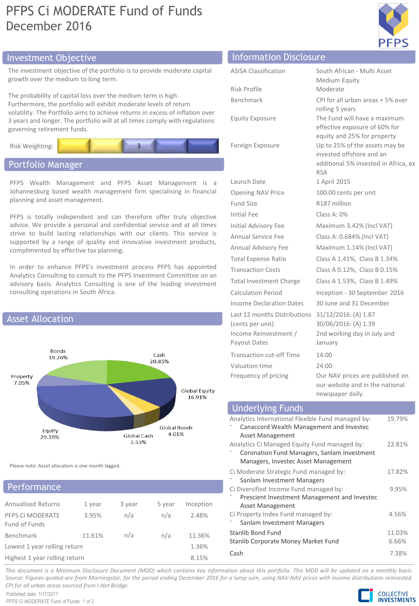# PFPS Ci MODERATE Fund of Funds December 2016



## Investment Objective Information Disclosure

The investment objective of the portfolio is to provide moderate capital growth over the medium to long term.

The probability of capital loss over the medium term is high. Furthermore, the portfolio will exhibit moderate levels of return volatility. The Portfolio aims to achieve returns in excess of inflation over 3 years and longer. The portfolio will at all times comply with regulations governing retirement funds.



## Portfolio Manager

Asset Allocation

PFPS Wealth Management and PFPS Asset Management is a Johannesburg based wealth management firm specialising in financial planning and asset management.

PFPS is totally independent and can therefore offer truly objective advice. We provide a personal and confidential service and at all times strive to build lasting relationships with our clients. This service is supported by a range of quality and innovative investment products, complimented by effective tax planning.

In order to enhance PFPS's investment process PFPS has appointed Analytics Consulting to consult to the PFPS Investment Committee on an advisory basis. Analytics Consulting is one of the leading investment consulting operations in South Africa.



Please note: Asset allocation is one month lagged.

### **Performance**

| <b>Annualised Returns</b>     | 1 year | 3 year | 5 year | Inception |  |
|-------------------------------|--------|--------|--------|-----------|--|
| PFPS Ci MODERATE              | 3.95%  | n/a    | n/a    | 2.48%     |  |
| Fund of Funds                 |        |        |        |           |  |
| <b>Benchmark</b>              | 11.61% | n/a    | n/a    | 11.36%    |  |
| Lowest 1 year rolling return  |        |        |        | 1.36%     |  |
| Highest 1 year rolling return | 8.15%  |        |        |           |  |

| <b>ASISA Classification</b>     | South African - Multi Asset                                        |
|---------------------------------|--------------------------------------------------------------------|
|                                 | Medium Equity                                                      |
| Risk Profile                    | Moderate                                                           |
| Benchmark                       | CPI for all urban areas + 5% over                                  |
|                                 | rolling 5 years                                                    |
| <b>Equity Exposure</b>          | The Fund will have a maximum<br>effective exposure of 60% for      |
|                                 | equity and 25% for property                                        |
| Foreign Exposure                | Up to 25% of the assets may be                                     |
|                                 | invested offshore and an                                           |
|                                 | additional 5% invested in Africa, ex<br><b>RSA</b>                 |
| Launch Date                     | 1 April 2015                                                       |
| <b>Opening NAV Price</b>        | 100.00 cents per unit                                              |
| <b>Fund Size</b>                | R187 million                                                       |
| <b>Initial Fee</b>              | Class A: 0%                                                        |
| <b>Initial Advisory Fee</b>     | Maximum 3.42% (Incl VAT)                                           |
| Annual Service Fee              | Class A: 0.684% (Incl VAT)                                         |
| Annual Advisory Fee             | Maximum 1.14% (Incl VAT)                                           |
| <b>Total Expense Ratio</b>      | Class A 1.41%, Class B 1.34%                                       |
| <b>Transaction Costs</b>        | Class A 0.12%, Class B 0.15%                                       |
| <b>Total Investment Charge</b>  | Class A 1.53%, Class B 1.49%                                       |
| Calculation Period              | Inception - 30 September 2016                                      |
| <b>Income Declaration Dates</b> | 30 June and 31 December                                            |
| Last 12 months Distributions    | 31/12/2016: (A) 1.87                                               |
| (cents per unit)                | 30/06/2016: (A) 1.39                                               |
| Income Reinvestment /           | 2nd working day in July and                                        |
| Payout Dates                    | January                                                            |
| <b>Transaction cut-off Time</b> | 14:00                                                              |
| Valuation time                  | 24:00                                                              |
| Frequency of pricing            | Our NAV prices are published on<br>our website and in the national |
|                                 | newspaper daily.                                                   |

| <b>Underlying Funds</b>                           |        |
|---------------------------------------------------|--------|
| Analytics International Flexible Fund managed by: | 19.79% |
| Canaccord Wealth Management and Investec          |        |
| Asset Management                                  |        |
| Analytics Ci Managed Equity Fund managed by:      | 22.81% |
| Coronation Fund Managers, Sanlam Investment       |        |
| Managers, Investec Asset Management               |        |
| Ci Moderate Strategic Fund managed by:            | 17.82% |
| Sanlam Investment Managers                        |        |
| Ci Diversified Income Fund managed by:            | 9.95%  |
| Prescient Investment Management and Investec      |        |
| <b>Asset Management</b>                           |        |
| Ci Property Index Fund managed by:                | 4.56%  |
| Sanlam Investment Managers                        |        |
| Stanlib Bond Fund                                 | 11.03% |
| Stanlib Corporate Money Market Fund               | 6.66%  |
| Cash                                              | 7.38%  |

This document is a Minimum Disclosure Document (MDD) which contains key information about this portfolio. This MDD will be updated on a monthly basis. Source: Figures guoted are from Morningstar, for the period ending December 2016 for a lump sum, using NAV-NAV prices with income distributions reinvested. *CPI for all urban areas sourced from I-Net Bridge.*

Published date: 1/17/2017 *PFPS Ci MODERATE Fund of Funds: 1 of 2*